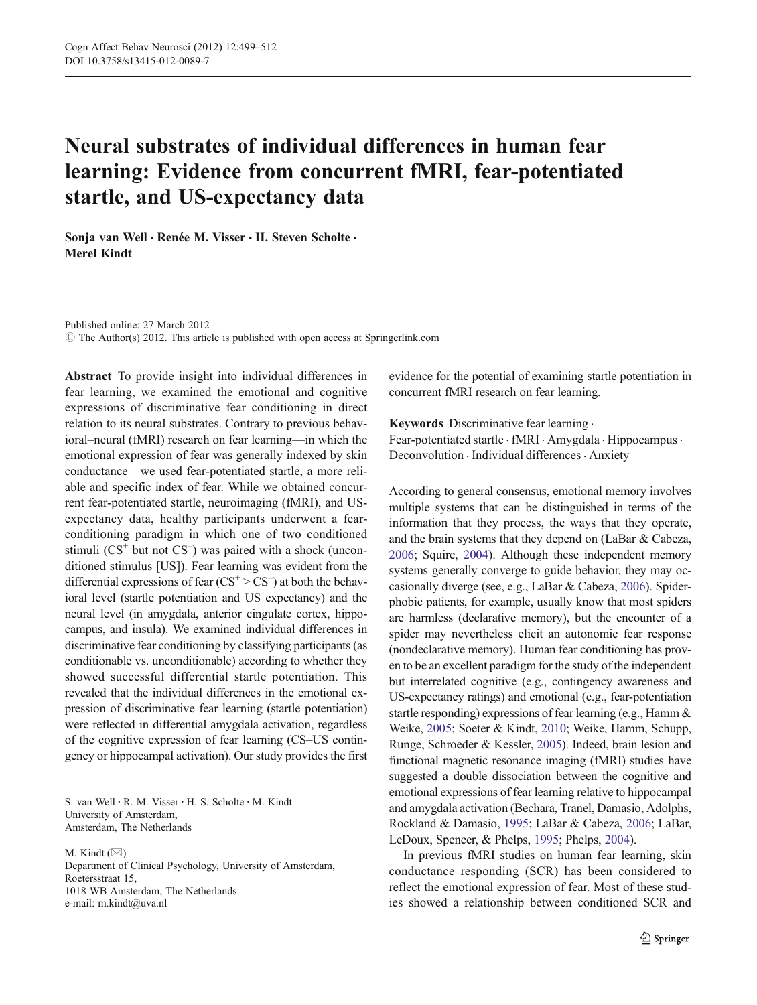# Neural substrates of individual differences in human fear learning: Evidence from concurrent fMRI, fear-potentiated startle, and US-expectancy data

Sonja van Well · Renée M. Visser · H. Steven Scholte · Merel Kindt

Published online: 27 March 2012  $\odot$  The Author(s) 2012. This article is published with open access at Springerlink.com

Abstract To provide insight into individual differences in fear learning, we examined the emotional and cognitive expressions of discriminative fear conditioning in direct relation to its neural substrates. Contrary to previous behavioral–neural (fMRI) research on fear learning—in which the emotional expression of fear was generally indexed by skin conductance—we used fear-potentiated startle, a more reliable and specific index of fear. While we obtained concurrent fear-potentiated startle, neuroimaging (fMRI), and USexpectancy data, healthy participants underwent a fearconditioning paradigm in which one of two conditioned stimuli  $(CS<sup>+</sup>$  but not  $CS<sup>-</sup>$ ) was paired with a shock (unconditioned stimulus [US]). Fear learning was evident from the differential expressions of fear  $\text{CS}^+$  >  $\text{CS}^-$ ) at both the behavioral level (startle potentiation and US expectancy) and the neural level (in amygdala, anterior cingulate cortex, hippocampus, and insula). We examined individual differences in discriminative fear conditioning by classifying participants (as conditionable vs. unconditionable) according to whether they showed successful differential startle potentiation. This revealed that the individual differences in the emotional expression of discriminative fear learning (startle potentiation) were reflected in differential amygdala activation, regardless of the cognitive expression of fear learning (CS–US contingency or hippocampal activation). Our study provides the first

S. van Well : R. M. Visser : H. S. Scholte : M. Kindt University of Amsterdam, Amsterdam, The Netherlands

M. Kindt  $(\boxtimes)$ Department of Clinical Psychology, University of Amsterdam, Roetersstraat 15, 1018 WB Amsterdam, The Netherlands e-mail: m.kindt@uva.nl

evidence for the potential of examining startle potentiation in concurrent fMRI research on fear learning.

Keywords Discriminative fear learning . Fear-potentiated startle . fMRI . Amygdala . Hippocampus. Deconvolution · Individual differences · Anxiety

According to general consensus, emotional memory involves multiple systems that can be distinguished in terms of the information that they process, the ways that they operate, and the brain systems that they depend on (LaBar & Cabeza, [2006;](#page-12-0) Squire, [2004](#page-12-0)). Although these independent memory systems generally converge to guide behavior, they may occasionally diverge (see, e.g., LaBar & Cabeza, [2006\)](#page-12-0). Spiderphobic patients, for example, usually know that most spiders are harmless (declarative memory), but the encounter of a spider may nevertheless elicit an autonomic fear response (nondeclarative memory). Human fear conditioning has proven to be an excellent paradigm for the study of the independent but interrelated cognitive (e.g., contingency awareness and US-expectancy ratings) and emotional (e.g., fear-potentiation startle responding) expressions of fear learning (e.g., Hamm & Weike, [2005](#page-11-0); Soeter & Kindt, [2010;](#page-12-0) Weike, Hamm, Schupp, Runge, Schroeder & Kessler, [2005](#page-13-0)). Indeed, brain lesion and functional magnetic resonance imaging (fMRI) studies have suggested a double dissociation between the cognitive and emotional expressions of fear learning relative to hippocampal and amygdala activation (Bechara, Tranel, Damasio, Adolphs, Rockland & Damasio, [1995](#page-11-0); LaBar & Cabeza, [2006](#page-12-0); LaBar, LeDoux, Spencer, & Phelps, [1995;](#page-12-0) Phelps, [2004\)](#page-12-0).

In previous fMRI studies on human fear learning, skin conductance responding (SCR) has been considered to reflect the emotional expression of fear. Most of these studies showed a relationship between conditioned SCR and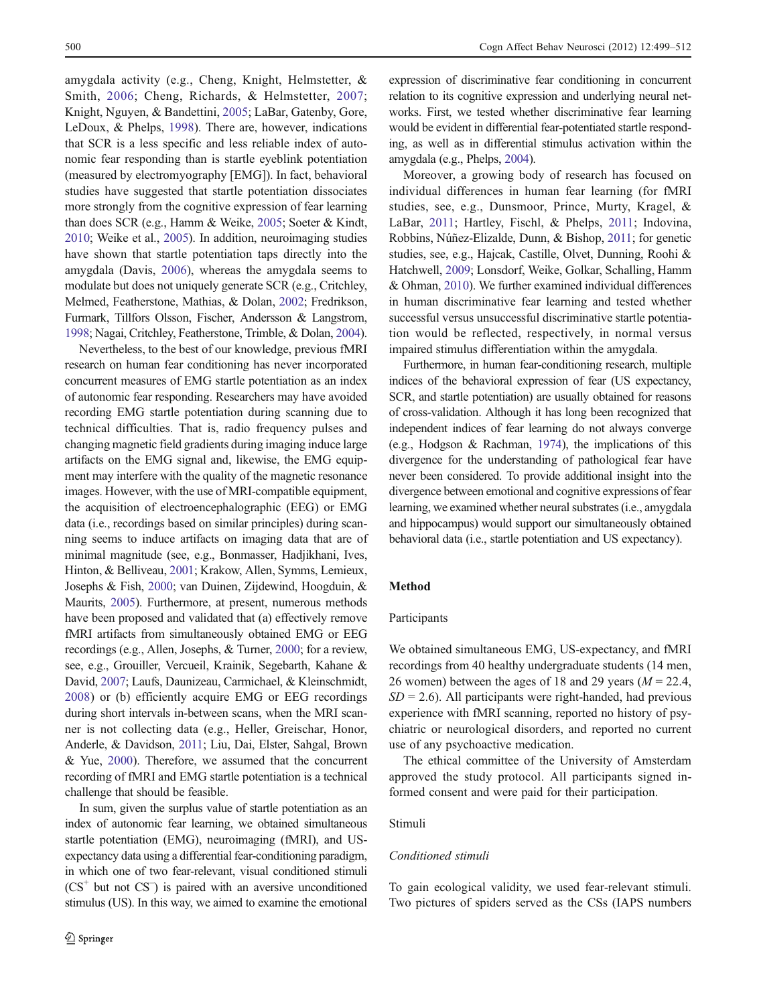amygdala activity (e.g., Cheng, Knight, Helmstetter, & Smith, [2006;](#page-11-0) Cheng, Richards, & Helmstetter, [2007](#page-11-0); Knight, Nguyen, & Bandettini, [2005](#page-12-0); LaBar, Gatenby, Gore, LeDoux, & Phelps, [1998\)](#page-12-0). There are, however, indications that SCR is a less specific and less reliable index of autonomic fear responding than is startle eyeblink potentiation (measured by electromyography [EMG]). In fact, behavioral studies have suggested that startle potentiation dissociates more strongly from the cognitive expression of fear learning than does SCR (e.g., Hamm & Weike, [2005](#page-11-0); Soeter & Kindt, [2010;](#page-12-0) Weike et al., [2005](#page-13-0)). In addition, neuroimaging studies have shown that startle potentiation taps directly into the amygdala (Davis, [2006\)](#page-11-0), whereas the amygdala seems to modulate but does not uniquely generate SCR (e.g., Critchley, Melmed, Featherstone, Mathias, & Dolan, [2002](#page-11-0); Fredrikson, Furmark, Tillfors Olsson, Fischer, Andersson & Langstrom, [1998](#page-11-0); Nagai, Critchley, Featherstone, Trimble, & Dolan, [2004\)](#page-12-0).

Nevertheless, to the best of our knowledge, previous fMRI research on human fear conditioning has never incorporated concurrent measures of EMG startle potentiation as an index of autonomic fear responding. Researchers may have avoided recording EMG startle potentiation during scanning due to technical difficulties. That is, radio frequency pulses and changing magnetic field gradients during imaging induce large artifacts on the EMG signal and, likewise, the EMG equipment may interfere with the quality of the magnetic resonance images. However, with the use of MRI-compatible equipment, the acquisition of electroencephalographic (EEG) or EMG data (i.e., recordings based on similar principles) during scanning seems to induce artifacts on imaging data that are of minimal magnitude (see, e.g., Bonmasser, Hadjikhani, Ives, Hinton, & Belliveau, [2001;](#page-11-0) Krakow, Allen, Symms, Lemieux, Josephs & Fish, [2000;](#page-12-0) van Duinen, Zijdewind, Hoogduin, & Maurits, [2005\)](#page-13-0). Furthermore, at present, numerous methods have been proposed and validated that (a) effectively remove fMRI artifacts from simultaneously obtained EMG or EEG recordings (e.g., Allen, Josephs, & Turner, [2000](#page-11-0); for a review, see, e.g., Grouiller, Vercueil, Krainik, Segebarth, Kahane & David, [2007;](#page-11-0) Laufs, Daunizeau, Carmichael, & Kleinschmidt, [2008](#page-12-0)) or (b) efficiently acquire EMG or EEG recordings during short intervals in-between scans, when the MRI scanner is not collecting data (e.g., Heller, Greischar, Honor, Anderle, & Davidson, [2011;](#page-12-0) Liu, Dai, Elster, Sahgal, Brown & Yue, [2000\)](#page-12-0). Therefore, we assumed that the concurrent recording of fMRI and EMG startle potentiation is a technical challenge that should be feasible.

In sum, given the surplus value of startle potentiation as an index of autonomic fear learning, we obtained simultaneous startle potentiation (EMG), neuroimaging (fMRI), and USexpectancy data using a differential fear-conditioning paradigm, in which one of two fear-relevant, visual conditioned stimuli (CS+ but not CS– ) is paired with an aversive unconditioned stimulus (US). In this way, we aimed to examine the emotional

expression of discriminative fear conditioning in concurrent relation to its cognitive expression and underlying neural networks. First, we tested whether discriminative fear learning would be evident in differential fear-potentiated startle responding, as well as in differential stimulus activation within the amygdala (e.g., Phelps, [2004](#page-12-0)).

Moreover, a growing body of research has focused on individual differences in human fear learning (for fMRI studies, see, e.g., Dunsmoor, Prince, Murty, Kragel, & LaBar, [2011;](#page-11-0) Hartley, Fischl, & Phelps, [2011;](#page-11-0) Indovina, Robbins, Núñez-Elizalde, Dunn, & Bishop, [2011](#page-12-0); for genetic studies, see, e.g., Hajcak, Castille, Olvet, Dunning, Roohi & Hatchwell, [2009](#page-11-0); Lonsdorf, Weike, Golkar, Schalling, Hamm & Ohman, [2010](#page-12-0)). We further examined individual differences in human discriminative fear learning and tested whether successful versus unsuccessful discriminative startle potentiation would be reflected, respectively, in normal versus impaired stimulus differentiation within the amygdala.

Furthermore, in human fear-conditioning research, multiple indices of the behavioral expression of fear (US expectancy, SCR, and startle potentiation) are usually obtained for reasons of cross-validation. Although it has long been recognized that independent indices of fear learning do not always converge (e.g., Hodgson & Rachman, [1974](#page-12-0)), the implications of this divergence for the understanding of pathological fear have never been considered. To provide additional insight into the divergence between emotional and cognitive expressions of fear learning, we examined whether neural substrates (i.e., amygdala and hippocampus) would support our simultaneously obtained behavioral data (i.e., startle potentiation and US expectancy).

# Method

## Participants

We obtained simultaneous EMG, US-expectancy, and fMRI recordings from 40 healthy undergraduate students (14 men, 26 women) between the ages of 18 and 29 years ( $M = 22.4$ ,  $SD = 2.6$ ). All participants were right-handed, had previous experience with fMRI scanning, reported no history of psychiatric or neurological disorders, and reported no current use of any psychoactive medication.

The ethical committee of the University of Amsterdam approved the study protocol. All participants signed informed consent and were paid for their participation.

# Stimuli

## Conditioned stimuli

To gain ecological validity, we used fear-relevant stimuli. Two pictures of spiders served as the CSs (IAPS numbers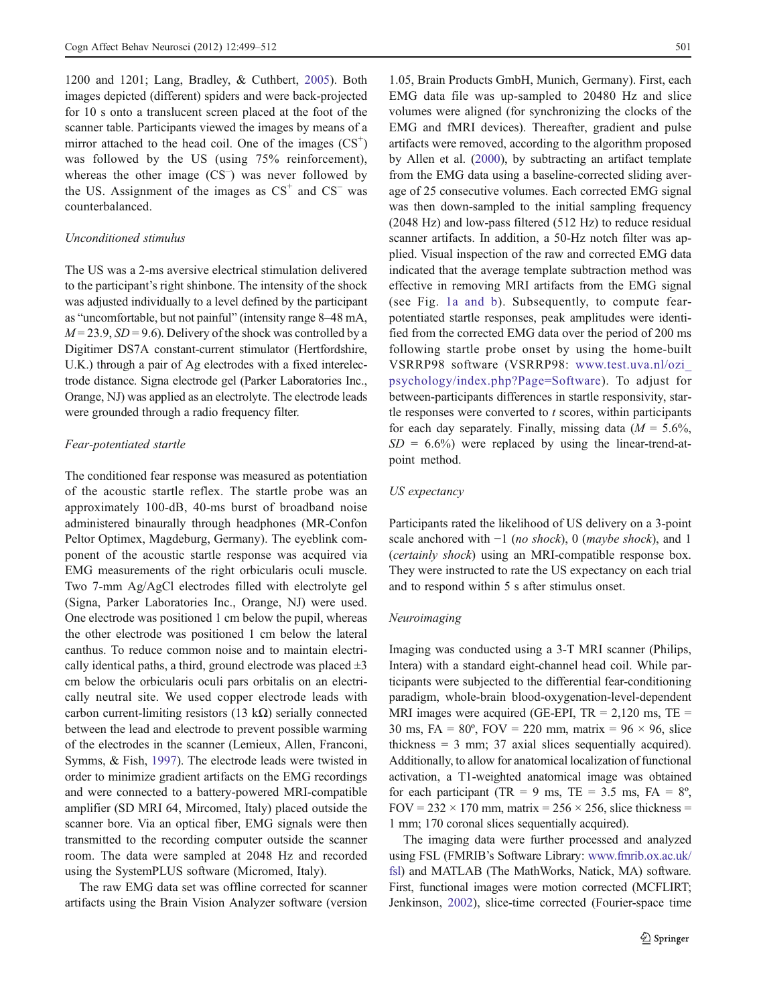1200 and 1201; Lang, Bradley, & Cuthbert, [2005\)](#page-12-0). Both images depicted (different) spiders and were back-projected for 10 s onto a translucent screen placed at the foot of the scanner table. Participants viewed the images by means of a mirror attached to the head coil. One of the images  $(CS<sup>+</sup>)$ was followed by the US (using 75% reinforcement), whereas the other image (CS<sup>-</sup>) was never followed by the US. Assignment of the images as  $CS<sup>+</sup>$  and  $CS<sup>-</sup>$  was counterbalanced.

# Unconditioned stimulus

The US was a 2-ms aversive electrical stimulation delivered to the participant's right shinbone. The intensity of the shock was adjusted individually to a level defined by the participant as "uncomfortable, but not painful" (intensity range 8–48 mA,  $M = 23.9$ ,  $SD = 9.6$ ). Delivery of the shock was controlled by a Digitimer DS7A constant-current stimulator (Hertfordshire, U.K.) through a pair of Ag electrodes with a fixed interelectrode distance. Signa electrode gel (Parker Laboratories Inc., Orange, NJ) was applied as an electrolyte. The electrode leads were grounded through a radio frequency filter.

## Fear-potentiated startle

The conditioned fear response was measured as potentiation of the acoustic startle reflex. The startle probe was an approximately 100-dB, 40-ms burst of broadband noise administered binaurally through headphones (MR-Confon Peltor Optimex, Magdeburg, Germany). The eyeblink component of the acoustic startle response was acquired via EMG measurements of the right orbicularis oculi muscle. Two 7-mm Ag/AgCl electrodes filled with electrolyte gel (Signa, Parker Laboratories Inc., Orange, NJ) were used. One electrode was positioned 1 cm below the pupil, whereas the other electrode was positioned 1 cm below the lateral canthus. To reduce common noise and to maintain electrically identical paths, a third, ground electrode was placed  $\pm 3$ cm below the orbicularis oculi pars orbitalis on an electrically neutral site. We used copper electrode leads with carbon current-limiting resistors (13 kΩ) serially connected between the lead and electrode to prevent possible warming of the electrodes in the scanner (Lemieux, Allen, Franconi, Symms, & Fish, [1997](#page-12-0)). The electrode leads were twisted in order to minimize gradient artifacts on the EMG recordings and were connected to a battery-powered MRI-compatible amplifier (SD MRI 64, Mircomed, Italy) placed outside the scanner bore. Via an optical fiber, EMG signals were then transmitted to the recording computer outside the scanner room. The data were sampled at 2048 Hz and recorded using the SystemPLUS software (Micromed, Italy).

The raw EMG data set was offline corrected for scanner artifacts using the Brain Vision Analyzer software (version

1.05, Brain Products GmbH, Munich, Germany). First, each EMG data file was up-sampled to 20480 Hz and slice volumes were aligned (for synchronizing the clocks of the EMG and fMRI devices). Thereafter, gradient and pulse artifacts were removed, according to the algorithm proposed by Allen et al. ([2000\)](#page-11-0), by subtracting an artifact template from the EMG data using a baseline-corrected sliding average of 25 consecutive volumes. Each corrected EMG signal was then down-sampled to the initial sampling frequency (2048 Hz) and low-pass filtered (512 Hz) to reduce residual scanner artifacts. In addition, a 50-Hz notch filter was applied. Visual inspection of the raw and corrected EMG data indicated that the average template subtraction method was effective in removing MRI artifacts from the EMG signal (see Fig. [1a and b\)](#page--1-0). Subsequently, to compute fearpotentiated startle responses, peak amplitudes were identified from the corrected EMG data over the period of 200 ms following startle probe onset by using the home-built VSRRP98 software (VSRRP98: www.test.uva.nl/ozi\_ psychology/index.php?Page=Software). To adjust for between-participants differences in startle responsivity, startle responses were converted to  $t$  scores, within participants for each day separately. Finally, missing data ( $M = 5.6\%$ ,  $SD = 6.6\%$ ) were replaced by using the linear-trend-atpoint method.

## US expectancy

Participants rated the likelihood of US delivery on a 3-point scale anchored with  $-1$  (no shock), 0 (maybe shock), and 1 (certainly shock) using an MRI-compatible response box. They were instructed to rate the US expectancy on each trial and to respond within 5 s after stimulus onset.

#### Neuroimaging

Imaging was conducted using a 3-T MRI scanner (Philips, Intera) with a standard eight-channel head coil. While participants were subjected to the differential fear-conditioning paradigm, whole-brain blood-oxygenation-level-dependent MRI images were acquired (GE-EPI,  $TR = 2,120$  ms,  $TE =$ 30 ms, FA =  $80^{\circ}$ , FOV = 220 mm, matrix =  $96 \times 96$ , slice thickness =  $3$  mm;  $37$  axial slices sequentially acquired). Additionally, to allow for anatomical localization of functional activation, a T1-weighted anatomical image was obtained for each participant (TR = 9 ms, TE = 3.5 ms, FA =  $8^\circ$ , FOV =  $232 \times 170$  mm, matrix =  $256 \times 256$ , slice thickness = 1 mm; 170 coronal slices sequentially acquired).

The imaging data were further processed and analyzed using FSL (FMRIB's Software Library: www.fmrib.ox.ac.uk/ fsl) and MATLAB (The MathWorks, Natick, MA) software. First, functional images were motion corrected (MCFLIRT; Jenkinson, [2002](#page-12-0)), slice-time corrected (Fourier-space time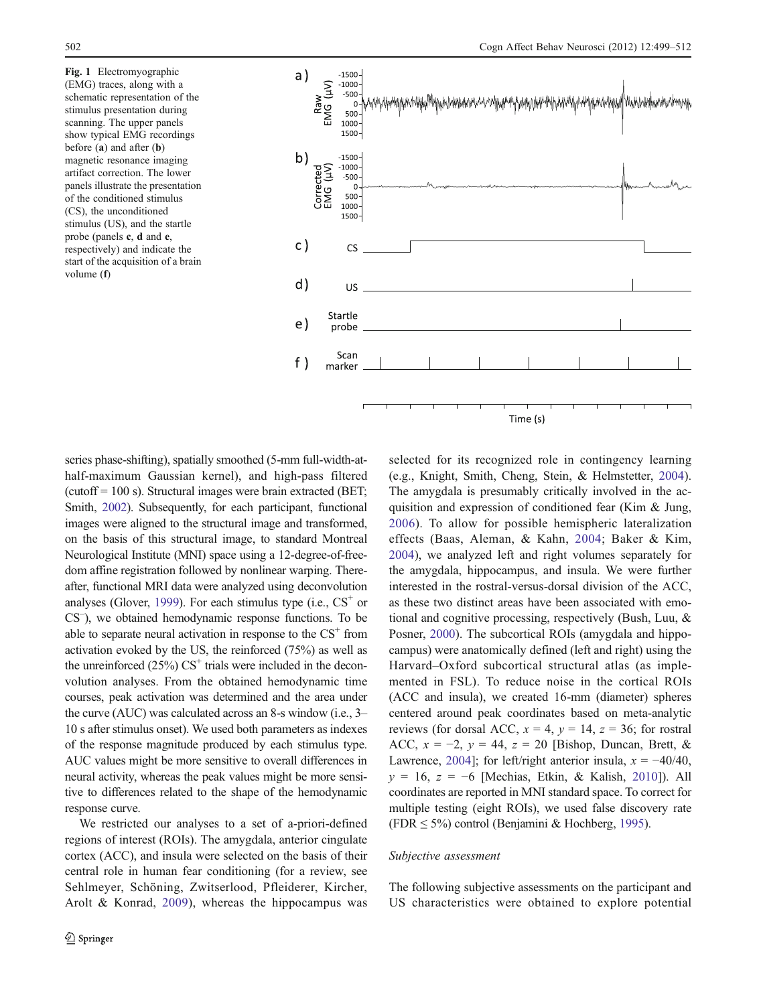Fig. 1 Electromyographic (EMG) traces, along with a schematic representation of the stimulus presentation during scanning. The upper panels show typical EMG recordings before (a) and after (b) magnetic resonance imaging artifact correction. The lower panels illustrate the presentation of the conditioned stimulus (CS), the unconditioned stimulus (US), and the startle probe (panels c, d and e, respectively) and indicate the start of the acquisition of a brain volume (f)



series phase-shifting), spatially smoothed (5-mm full-width-athalf-maximum Gaussian kernel), and high-pass filtered (cutoff  $= 100$  s). Structural images were brain extracted (BET; Smith, [2002\)](#page-12-0). Subsequently, for each participant, functional images were aligned to the structural image and transformed, on the basis of this structural image, to standard Montreal Neurological Institute (MNI) space using a 12-degree-of-freedom affine registration followed by nonlinear warping. Thereafter, functional MRI data were analyzed using deconvolution analyses (Glover, [1999\)](#page-11-0). For each stimulus type (i.e.,  $CS^+$  or CS– ), we obtained hemodynamic response functions. To be able to separate neural activation in response to the  $CS<sup>+</sup>$  from activation evoked by the US, the reinforced (75%) as well as the unreinforced  $(25\%) \text{CS}^+$  trials were included in the deconvolution analyses. From the obtained hemodynamic time courses, peak activation was determined and the area under the curve (AUC) was calculated across an 8-s window (i.e., 3– 10 s after stimulus onset). We used both parameters as indexes of the response magnitude produced by each stimulus type. AUC values might be more sensitive to overall differences in neural activity, whereas the peak values might be more sensitive to differences related to the shape of the hemodynamic response curve.

We restricted our analyses to a set of a-priori-defined regions of interest (ROIs). The amygdala, anterior cingulate cortex (ACC), and insula were selected on the basis of their central role in human fear conditioning (for a review, see Sehlmeyer, Schöning, Zwitserlood, Pfleiderer, Kircher, Arolt & Konrad, [2009](#page-12-0)), whereas the hippocampus was selected for its recognized role in contingency learning (e.g., Knight, Smith, Cheng, Stein, & Helmstetter, [2004\)](#page-12-0). The amygdala is presumably critically involved in the acquisition and expression of conditioned fear (Kim & Jung, [2006\)](#page-12-0). To allow for possible hemispheric lateralization effects (Baas, Aleman, & Kahn, [2004;](#page-11-0) Baker & Kim, [2004](#page-11-0)), we analyzed left and right volumes separately for the amygdala, hippocampus, and insula. We were further interested in the rostral-versus-dorsal division of the ACC, as these two distinct areas have been associated with emotional and cognitive processing, respectively (Bush, Luu, & Posner, [2000](#page-11-0)). The subcortical ROIs (amygdala and hippocampus) were anatomically defined (left and right) using the Harvard–Oxford subcortical structural atlas (as implemented in FSL). To reduce noise in the cortical ROIs (ACC and insula), we created 16-mm (diameter) spheres centered around peak coordinates based on meta-analytic reviews (for dorsal ACC,  $x = 4$ ,  $y = 14$ ,  $z = 36$ ; for rostral ACC,  $x = -2$ ,  $y = 44$ ,  $z = 20$  [Bishop, Duncan, Brett, & Lawrence, [2004\]](#page-11-0); for left/right anterior insula,  $x = -40/40$ ,  $y = 16$ ,  $z = -6$  [Mechias, Etkin, & Kalish, [2010\]](#page-12-0)). All coordinates are reported in MNI standard space. To correct for multiple testing (eight ROIs), we used false discovery rate (FDR  $\leq$  5%) control (Benjamini & Hochberg, [1995\)](#page-11-0).

## Subjective assessment

The following subjective assessments on the participant and US characteristics were obtained to explore potential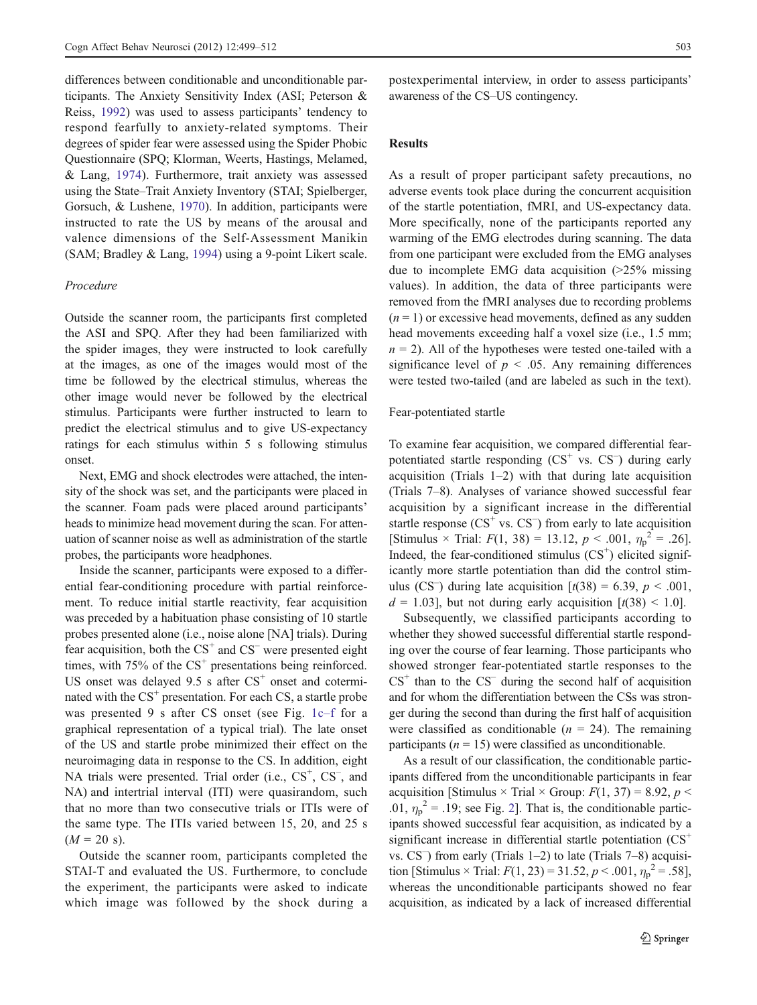differences between conditionable and unconditionable participants. The Anxiety Sensitivity Index (ASI; Peterson & Reiss, [1992](#page-12-0)) was used to assess participants' tendency to respond fearfully to anxiety-related symptoms. Their degrees of spider fear were assessed using the Spider Phobic Questionnaire (SPQ; Klorman, Weerts, Hastings, Melamed, & Lang, [1974\)](#page-12-0). Furthermore, trait anxiety was assessed using the State–Trait Anxiety Inventory (STAI; Spielberger, Gorsuch, & Lushene, [1970](#page-12-0)). In addition, participants were instructed to rate the US by means of the arousal and valence dimensions of the Self-Assessment Manikin (SAM; Bradley & Lang, [1994](#page-11-0)) using a 9-point Likert scale.

# Procedure

Outside the scanner room, the participants first completed the ASI and SPQ. After they had been familiarized with the spider images, they were instructed to look carefully at the images, as one of the images would most of the time be followed by the electrical stimulus, whereas the other image would never be followed by the electrical stimulus. Participants were further instructed to learn to predict the electrical stimulus and to give US-expectancy ratings for each stimulus within 5 s following stimulus onset.

Next, EMG and shock electrodes were attached, the intensity of the shock was set, and the participants were placed in the scanner. Foam pads were placed around participants' heads to minimize head movement during the scan. For attenuation of scanner noise as well as administration of the startle probes, the participants wore headphones.

Inside the scanner, participants were exposed to a differential fear-conditioning procedure with partial reinforcement. To reduce initial startle reactivity, fear acquisition was preceded by a habituation phase consisting of 10 startle probes presented alone (i.e., noise alone [NA] trials). During fear acquisition, both the  $CS^+$  and  $CS^-$  were presented eight times, with  $75\%$  of the  $CS<sup>+</sup>$  presentations being reinforced. US onset was delayed  $9.5$  s after  $CS<sup>+</sup>$  onset and coterminated with the  $CS<sup>+</sup>$  presentation. For each CS, a startle probe was presented 9 s after CS onset (see Fig. [1c](#page--1-0)–f for a graphical representation of a typical trial). The late onset of the US and startle probe minimized their effect on the neuroimaging data in response to the CS. In addition, eight NA trials were presented. Trial order (i.e., CS<sup>+</sup>, CS<sup>-</sup>, and NA) and intertrial interval (ITI) were quasirandom, such that no more than two consecutive trials or ITIs were of the same type. The ITIs varied between 15, 20, and 25 s  $(M = 20 \text{ s}).$ 

Outside the scanner room, participants completed the STAI-T and evaluated the US. Furthermore, to conclude the experiment, the participants were asked to indicate which image was followed by the shock during a

postexperimental interview, in order to assess participants' awareness of the CS–US contingency.

# Results

As a result of proper participant safety precautions, no adverse events took place during the concurrent acquisition of the startle potentiation, fMRI, and US-expectancy data. More specifically, none of the participants reported any warming of the EMG electrodes during scanning. The data from one participant were excluded from the EMG analyses due to incomplete EMG data acquisition (>25% missing values). In addition, the data of three participants were removed from the fMRI analyses due to recording problems  $(n = 1)$  or excessive head movements, defined as any sudden head movements exceeding half a voxel size (i.e., 1.5 mm;  $n = 2$ ). All of the hypotheses were tested one-tailed with a significance level of  $p < .05$ . Any remaining differences were tested two-tailed (and are labeled as such in the text).

#### Fear-potentiated startle

To examine fear acquisition, we compared differential fearpotentiated startle responding (CS<sup>+</sup> vs. CS<sup>-</sup>) during early acquisition (Trials  $1-2$ ) with that during late acquisition (Trials 7–8). Analyses of variance showed successful fear acquisition by a significant increase in the differential startle response  $(CS<sup>+</sup> vs. CS<sup>-</sup>)$  from early to late acquisition [Stimulus × Trial:  $F(1, 38) = 13.12, p < .001, \eta_p^2 = .26$ ]. Indeed, the fear-conditioned stimulus  $(CS<sup>+</sup>)$  elicited significantly more startle potentiation than did the control stimulus (CS<sup>-</sup>) during late acquisition  $[t(38) = 6.39, p < .001,$  $d = 1.03$ ], but not during early acquisition  $\lceil t(38) \rceil$ .

Subsequently, we classified participants according to whether they showed successful differential startle responding over the course of fear learning. Those participants who showed stronger fear-potentiated startle responses to the  $CS<sup>+</sup>$  than to the  $CS<sup>-</sup>$  during the second half of acquisition and for whom the differentiation between the CSs was stronger during the second than during the first half of acquisition were classified as conditionable ( $n = 24$ ). The remaining participants ( $n = 15$ ) were classified as unconditionable.

As a result of our classification, the conditionable participants differed from the unconditionable participants in fear acquisition [Stimulus  $\times$  Trial  $\times$  Group:  $F(1, 37) = 8.92$ ,  $p \le$ .01,  $\eta_p^2$  $\eta_p^2$  = .19; see Fig. 2]. That is, the conditionable participants showed successful fear acquisition, as indicated by a significant increase in differential startle potentiation  $(CS<sup>+</sup>)$ vs. CS– ) from early (Trials 1–2) to late (Trials 7–8) acquisition [Stimulus × Trial:  $F(1, 23) = 31.52, p < .001, \eta_p^2 = .58$ ], whereas the unconditionable participants showed no fear acquisition, as indicated by a lack of increased differential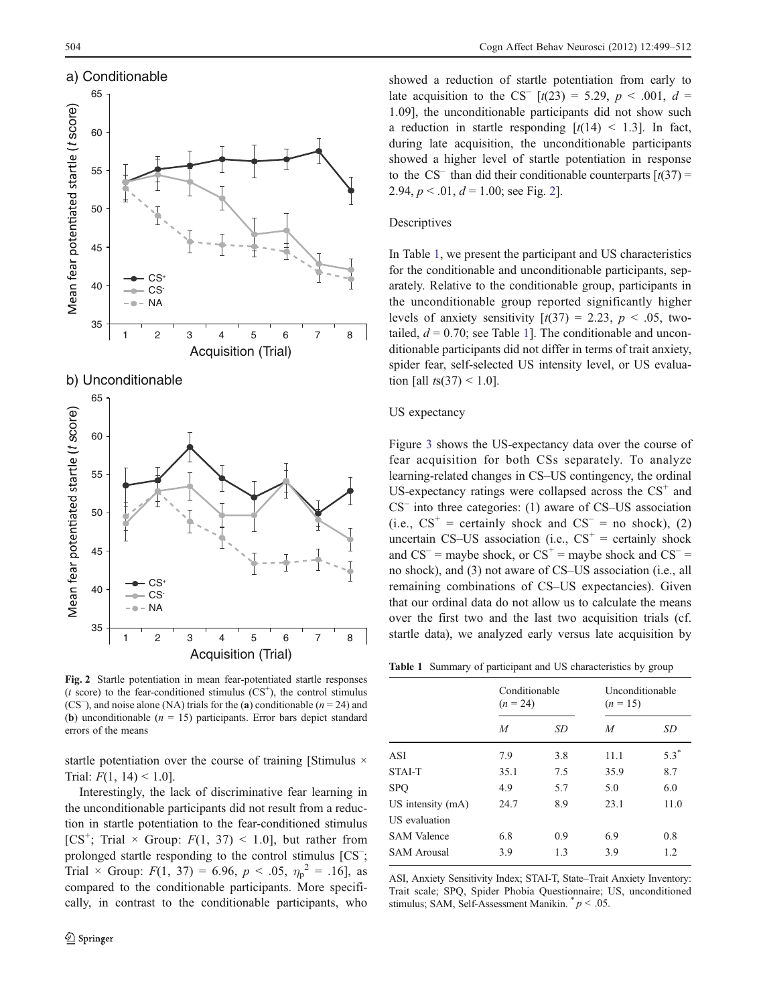# <span id="page-5-0"></span>a) Conditionable



Fig. 2 Startle potentiation in mean fear-potentiated startle responses  $(t \text{ score})$  to the fear-conditioned stimulus  $(CS<sup>+</sup>)$ , the control stimulus (CS<sup>-</sup>), and noise alone (NA) trials for the (a) conditionable ( $n = 24$ ) and (b) unconditionable ( $n = 15$ ) participants. Error bars depict standard errors of the means

startle potentiation over the course of training [Stimulus  $\times$ Trial:  $F(1, 14) < 1.0$ ].

Interestingly, the lack of discriminative fear learning in the unconditionable participants did not result from a reduction in startle potentiation to the fear-conditioned stimulus [CS<sup>+</sup>; Trial  $\times$  Group:  $F(1, 37) < 1.0$ ], but rather from prolonged startle responding to the control stimulus [CS<sup>-</sup>; Trial  $\times$  Group:  $F(1, 37) = 6.96, p < .05, \eta_p^2 = .16$ , as compared to the conditionable participants. More specifically, in contrast to the conditionable participants, who showed a reduction of startle potentiation from early to late acquisition to the CS<sup>–</sup>  $[t(23) = 5.29, p < .001, d =$ 1.09], the unconditionable participants did not show such a reduction in startle responding  $[t(14) < 1.3]$ . In fact, during late acquisition, the unconditionable participants showed a higher level of startle potentiation in response to the CS<sup>-</sup> than did their conditionable counterparts  $\lceil t(37) \rceil$ 2.94,  $p < 0.01$ ,  $d = 1.00$ ; see Fig. 2].

# Descriptives

In Table 1, we present the participant and US characteristics for the conditionable and unconditionable participants, separately. Relative to the conditionable group, participants in the unconditionable group reported significantly higher levels of anxiety sensitivity  $\left[t(37) = 2.23, p \le .05, \text{ two-} \right]$ tailed,  $d = 0.70$ ; see Table 1]. The conditionable and unconditionable participants did not differ in terms of trait anxiety, spider fear, self-selected US intensity level, or US evaluation [all  $ts(37) < 1.0$ ].

### US expectancy

Figure [3](#page-6-0) shows the US-expectancy data over the course of fear acquisition for both CSs separately. To analyze learning-related changes in CS–US contingency, the ordinal US-expectancy ratings were collapsed across the  $CS<sup>+</sup>$  and CS– into three categories: (1) aware of CS–US association (i.e.,  $CS^+$  = certainly shock and  $CS^-$  = no shock), (2) uncertain CS–US association (i.e.,  $CS^+$  = certainly shock and  $CS^-$  = maybe shock, or  $CS^+$  = maybe shock and  $CS^-$  = no shock), and (3) not aware of CS–US association (i.e., all remaining combinations of CS–US expectancies). Given that our ordinal data do not allow us to calculate the means over the first two and the last two acquisition trials (cf. startle data), we analyzed early versus late acquisition by

Table 1 Summary of participant and US characteristics by group

|                     | Conditionable<br>$(n = 24)$ |     | Unconditionable<br>$(n = 15)$ |           |
|---------------------|-----------------------------|-----|-------------------------------|-----------|
|                     | M                           | SD  | M                             | <b>SD</b> |
| <b>ASI</b>          | 7.9                         | 3.8 | 11.1                          | $5.3^*$   |
| STAI-T              | 35.1                        | 7.5 | 35.9                          | 8.7       |
| <b>SPQ</b>          | 4.9                         | 5.7 | 5.0                           | 6.0       |
| US intensity $(mA)$ | 24.7                        | 8.9 | 23.1                          | 11.0      |
| US evaluation       |                             |     |                               |           |
| <b>SAM Valence</b>  | 6.8                         | 0.9 | 6.9                           | 0.8       |
| <b>SAM Arousal</b>  | 3.9                         | 1.3 | 3.9                           | 1.2       |

ASI, Anxiety Sensitivity Index; STAI-T, State–Trait Anxiety Inventory: Trait scale; SPQ, Spider Phobia Questionnaire; US, unconditioned stimulus; SAM, Self-Assessment Manikin.  $p < .05$ .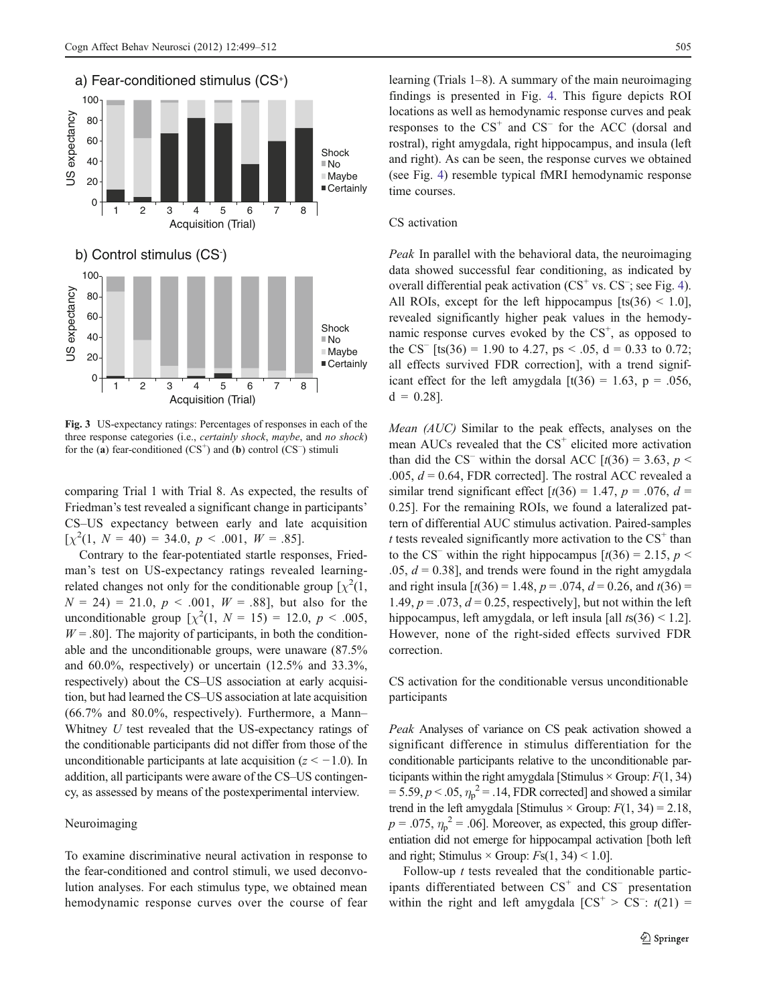<span id="page-6-0"></span>

Fig. 3 US-expectancy ratings: Percentages of responses in each of the three response categories (i.e., *certainly shock*, *maybe*, and *no shock*) for the  $(a)$  fear-conditioned  $(CS<sup>+</sup>)$  and  $(b)$  control  $(CS<sup>-</sup>)$  stimuli

comparing Trial 1 with Trial 8. As expected, the results of Friedman's test revealed a significant change in participants' CS–US expectancy between early and late acquisition  $[\chi^2(1, N = 40) = 34.0, p < .001, W = .85].$ 

Contrary to the fear-potentiated startle responses, Friedman's test on US-expectancy ratings revealed learningrelated changes not only for the conditionable group  $[\chi^2(1, \frac{1}{\chi^2(1, \frac{1}{\chi}))}]$  $N = 24$ ) = 21.0,  $p < .001$ ,  $W = .88$ ], but also for the unconditionable group  $[\chi^2(1, N = 15) = 12.0, p < .005,$  $W = .80$ ]. The majority of participants, in both the conditionable and the unconditionable groups, were unaware (87.5% and 60.0%, respectively) or uncertain (12.5% and 33.3%, respectively) about the CS–US association at early acquisition, but had learned the CS–US association at late acquisition (66.7% and 80.0%, respectively). Furthermore, a Mann– Whitney  $U$  test revealed that the US-expectancy ratings of the conditionable participants did not differ from those of the unconditionable participants at late acquisition  $(z < -1.0)$ . In addition, all participants were aware of the CS–US contingency, as assessed by means of the postexperimental interview.

# Neuroimaging

To examine discriminative neural activation in response to the fear-conditioned and control stimuli, we used deconvolution analyses. For each stimulus type, we obtained mean hemodynamic response curves over the course of fear

learning (Trials 1–8). A summary of the main neuroimaging findings is presented in Fig. [4](#page-8-0). This figure depicts ROI locations as well as hemodynamic response curves and peak responses to the  $CS^+$  and  $CS^-$  for the ACC (dorsal and rostral), right amygdala, right hippocampus, and insula (left and right). As can be seen, the response curves we obtained (see Fig. [4](#page-8-0)) resemble typical fMRI hemodynamic response time courses.

# CS activation

Peak In parallel with the behavioral data, the neuroimaging data showed successful fear conditioning, as indicated by overall differential peak activation (CS<sup>+</sup> vs. CS<sup>-</sup>; see Fig. [4\)](#page-8-0). All ROIs, except for the left hippocampus  $[ts(36) < 1.0]$ , revealed significantly higher peak values in the hemodynamic response curves evoked by the  $CS<sup>+</sup>$ , as opposed to the CS<sup>–</sup> [ts(36) = 1.90 to 4.27, ps < .05, d = 0.33 to 0.72; all effects survived FDR correction], with a trend significant effect for the left amygdala  $[t(36) = 1.63, p = .056,$  $d = 0.28$ ].

Mean (AUC) Similar to the peak effects, analyses on the mean AUCs revealed that the  $CS<sup>+</sup>$  elicited more activation than did the CS<sup>-</sup> within the dorsal ACC  $[t(36) = 3.63, p <$ .005,  $d = 0.64$ , FDR corrected]. The rostral ACC revealed a similar trend significant effect  $[t(36) = 1.47, p = .076, d =$ 0.25]. For the remaining ROIs, we found a lateralized pattern of differential AUC stimulus activation. Paired-samples t tests revealed significantly more activation to the  $CS^+$  than to the CS<sup>–</sup> within the right hippocampus  $[t(36) = 2.15, p <$ .05,  $d = 0.38$ ], and trends were found in the right amygdala and right insula  $[t(36) = 1.48, p = .074, d = 0.26,$  and  $t(36) =$ 1.49,  $p = 0.073$ ,  $d = 0.25$ , respectively], but not within the left hippocampus, left amygdala, or left insula [all  $ts(36) < 1.2$ ]. However, none of the right-sided effects survived FDR correction.

CS activation for the conditionable versus unconditionable participants

Peak Analyses of variance on CS peak activation showed a significant difference in stimulus differentiation for the conditionable participants relative to the unconditionable participants within the right amygdala [Stimulus  $\times$  Group:  $F(1, 34)$ ]  $0 = 5.59, p < 0.05, \eta_p^2 = 0.14$ , FDR corrected a similar trend in the left amygdala [Stimulus  $\times$  Group:  $F(1, 34) = 2.18$ ,  $p = .075$ ,  $\eta_p^2 = .06$ ]. Moreover, as expected, this group differentiation did not emerge for hippocampal activation [both left and right; Stimulus  $\times$  Group:  $Fs(1, 34) < 1.0$ ].

Follow-up  $t$  tests revealed that the conditionable participants differentiated between  $CS^+$  and  $CS^-$  presentation within the right and left amygdala  $[CS^+ > CS^-: t(21) =$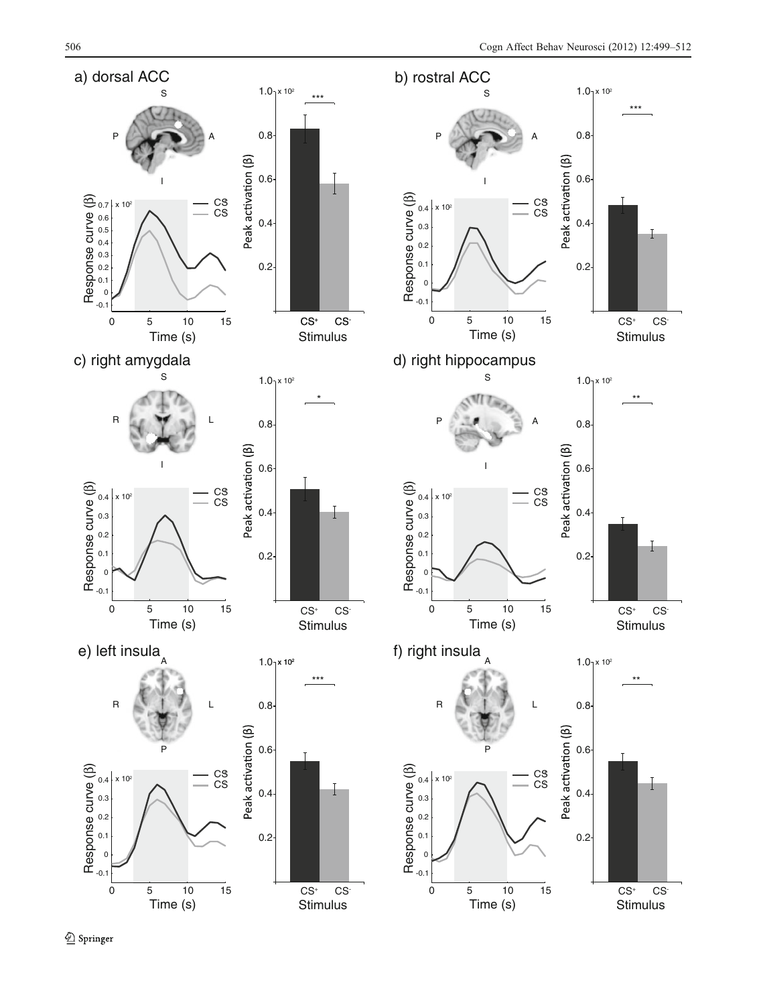

<sup>2</sup> Springer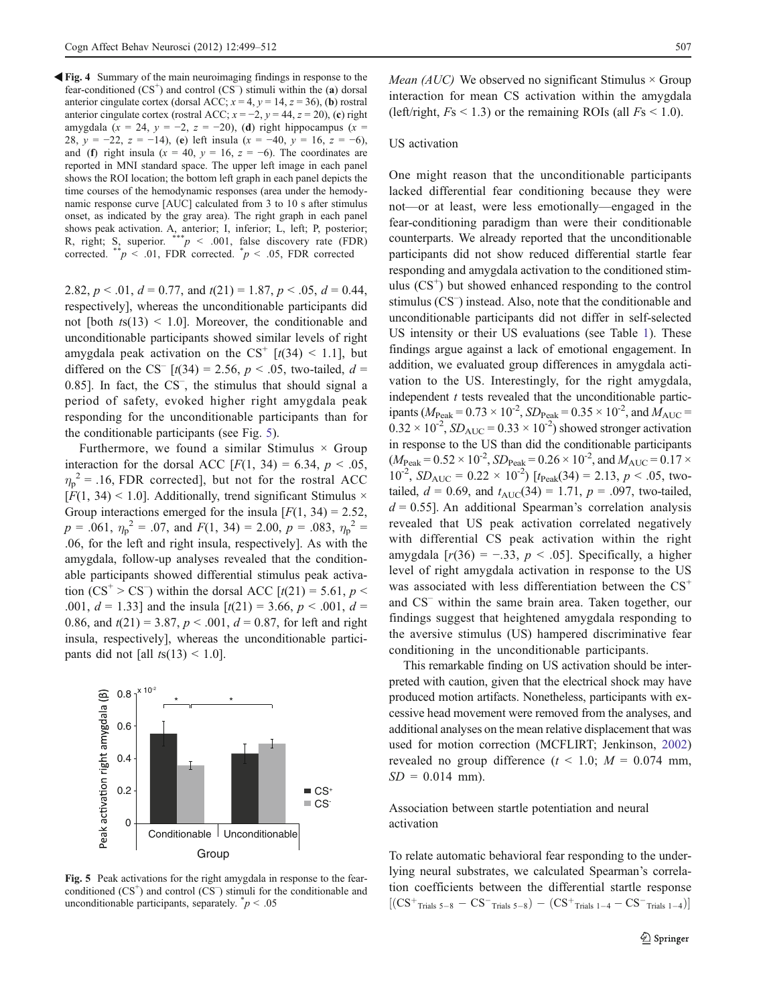<span id="page-8-0"></span>Fig. 4 Summary of the main neuroimaging findings in response to the fear-conditioned  $(CS<sup>+</sup>)$  and control  $(CS<sup>-</sup>)$  stimuli within the (a) dorsal anterior cingulate cortex (dorsal ACC;  $x = 4$ ,  $y = 14$ ,  $z = 36$ ), (b) rostral anterior cingulate cortex (rostral ACC;  $x = -2$ ,  $y = 44$ ,  $z = 20$ ), (c) right amygdala (x = 24, y = -2, z = -20), (d) right hippocampus (x = 28,  $y = -22$ ,  $z = -14$ ), (e) left insula ( $x = -40$ ,  $y = 16$ ,  $z = -6$ ), and (f) right insula ( $x = 40$ ,  $y = 16$ ,  $z = -6$ ). The coordinates are reported in MNI standard space. The upper left image in each panel shows the ROI location; the bottom left graph in each panel depicts the time courses of the hemodynamic responses (area under the hemodynamic response curve [AUC] calculated from 3 to 10 s after stimulus onset, as indicated by the gray area). The right graph in each panel shows peak activation. A, anterior; I, inferior; L, left; P, posterior; R, right; S<sub>2</sub>, superior. \*\*\*  $p \le 0.001$ , false discovery rate (FDR) corrected.  $*^{*}p < .01$ , FDR corrected.  $*^{*}p < .05$ , FDR corrected

2.82,  $p < .01$ ,  $d = 0.77$ , and  $t(21) = 1.87$ ,  $p < .05$ ,  $d = 0.44$ , respectively], whereas the unconditionable participants did not [both  $ts(13) < 1.0$ ]. Moreover, the conditionable and unconditionable participants showed similar levels of right amygdala peak activation on the  $CS^+$  [t(34) < 1.1], but differed on the CS<sup>–</sup> [t(34) = 2.56, p < .05, two-tailed, d = 0.85]. In fact, the CS– , the stimulus that should signal a period of safety, evoked higher right amygdala peak responding for the unconditionable participants than for the conditionable participants (see Fig. 5).

Furthermore, we found a similar Stimulus  $\times$  Group interaction for the dorsal ACC  $[F(1, 34) = 6.34, p < .05,$  $\eta_p^2$  = .16, FDR corrected], but not for the rostral ACC  $[F(1, 34)$  < 1.0]. Additionally, trend significant Stimulus  $\times$ Group interactions emerged for the insula  $[F(1, 34) = 2.52]$ ,  $p = .061$ ,  $\eta_p^2 = .07$ , and  $F(1, 34) = 2.00$ ,  $p = .083$ ,  $\eta_p^2 =$ .06, for the left and right insula, respectively]. As with the amygdala, follow-up analyses revealed that the conditionable participants showed differential stimulus peak activation (CS<sup>+</sup> > CS<sup>-</sup>) within the dorsal ACC  $[t(21) = 5.61, p <$ .001,  $d = 1.33$ ] and the insula  $[t(21) = 3.66, p < .001, d =$ 0.86, and  $t(21) = 3.87$ ,  $p < .001$ ,  $d = 0.87$ , for left and right insula, respectively], whereas the unconditionable participants did not [all  $ts(13) < 1.0$ ].



Fig. 5 Peak activations for the right amygdala in response to the fearconditioned  $(CS<sup>+</sup>)$  and control  $(CS<sup>-</sup>)$  stimuli for the conditionable and unconditionable participants, separately.  $p < .05$ 

*Mean (AUC)* We observed no significant Stimulus  $\times$  Group interaction for mean CS activation within the amygdala (left/right,  $Fs < 1.3$ ) or the remaining ROIs (all  $Fs < 1.0$ ).

# US activation

One might reason that the unconditionable participants lacked differential fear conditioning because they were not—or at least, were less emotionally—engaged in the fear-conditioning paradigm than were their conditionable counterparts. We already reported that the unconditionable participants did not show reduced differential startle fear responding and amygdala activation to the conditioned stimulus (CS<sup>+</sup>) but showed enhanced responding to the control stimulus (CS– ) instead. Also, note that the conditionable and unconditionable participants did not differ in self-selected US intensity or their US evaluations (see Table [1\)](#page-5-0). These findings argue against a lack of emotional engagement. In addition, we evaluated group differences in amygdala activation to the US. Interestingly, for the right amygdala, independent  $t$  tests revealed that the unconditionable participants ( $M_{\rm Peak} = 0.73 \times 10^{-2}$ ,  $SD_{\rm Peak} = 0.35 \times 10^{-2}$ , and  $M_{\rm AUC} =$  $0.32 \times 10^{-2}$ ,  $SD_{AUC} = 0.33 \times 10^{-2}$ ) showed stronger activation in response to the US than did the conditionable participants  $(M_{\rm Peak} = 0.52 \times 10^{-2}$ ,  $SD_{\rm peak} = 0.26 \times 10^{-2}$ , and  $M_{\rm AUC} = 0.17 \times$  $10^{-2}$ ,  $SD_{AUC} = 0.22 \times 10^{-2}$  [ $t_{Peak}(34) = 2.13$ ,  $p < .05$ , twotailed,  $d = 0.69$ , and  $t_{AUC}(34) = 1.71$ ,  $p = .097$ , two-tailed,  $d = 0.55$ ]. An additional Spearman's correlation analysis revealed that US peak activation correlated negatively with differential CS peak activation within the right amygdala  $[r(36) = -.33, p < .05]$ . Specifically, a higher level of right amygdala activation in response to the US was associated with less differentiation between the  $CS<sup>+</sup>$ and CS– within the same brain area. Taken together, our findings suggest that heightened amygdala responding to the aversive stimulus (US) hampered discriminative fear conditioning in the unconditionable participants.

This remarkable finding on US activation should be interpreted with caution, given that the electrical shock may have produced motion artifacts. Nonetheless, participants with excessive head movement were removed from the analyses, and additional analyses on the mean relative displacement that was used for motion correction (MCFLIRT; Jenkinson, [2002](#page-12-0)) revealed no group difference ( $t < 1.0$ ;  $M = 0.074$  mm,  $SD = 0.014$  mm).

Association between startle potentiation and neural activation

To relate automatic behavioral fear responding to the underlying neural substrates, we calculated Spearman's correlation coefficients between the differential startle response  $\left[\left(\text{CS}^+\right)_{\text{Trials }5-8}-\text{CS}^-\right_{\text{Trials }5-8}-\left(\text{CS}^+\right)_{\text{Trials }1-4}-\text{CS}^-\right_{\text{Trials }1-4}\right]$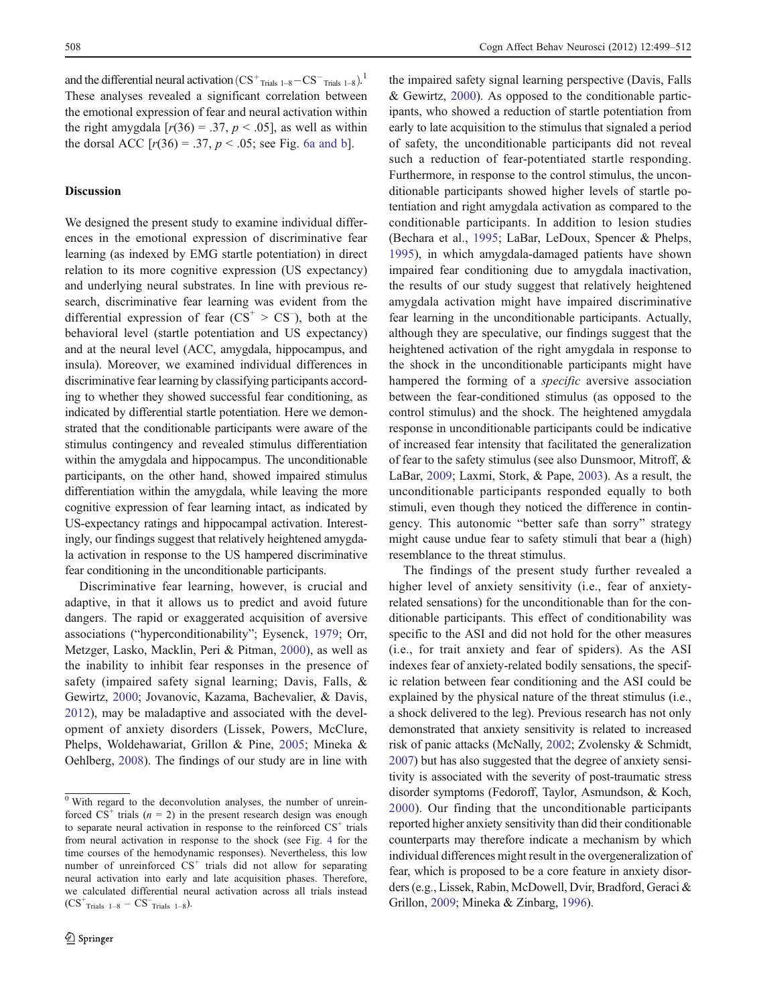and the differential neural activation  $\left( CS^{+} \right)_{\text{Trials } 1-8} - CS^{-} \right)$   $\left. \right.$   $\left. \right)$ These analyses revealed a significant correlation between the emotional expression of fear and neural activation within the right amygdala  $[r(36) = .37, p < .05]$ , as well as within the dorsal ACC  $[r(36) = .37, p < .05$ ; see Fig. [6a and b](#page-10-0)].

# Discussion

We designed the present study to examine individual differences in the emotional expression of discriminative fear learning (as indexed by EMG startle potentiation) in direct relation to its more cognitive expression (US expectancy) and underlying neural substrates. In line with previous research, discriminative fear learning was evident from the differential expression of fear  $(CS^{+} > CS^{-})$ , both at the behavioral level (startle potentiation and US expectancy) and at the neural level (ACC, amygdala, hippocampus, and insula). Moreover, we examined individual differences in discriminative fear learning by classifying participants according to whether they showed successful fear conditioning, as indicated by differential startle potentiation. Here we demonstrated that the conditionable participants were aware of the stimulus contingency and revealed stimulus differentiation within the amygdala and hippocampus. The unconditionable participants, on the other hand, showed impaired stimulus differentiation within the amygdala, while leaving the more cognitive expression of fear learning intact, as indicated by US-expectancy ratings and hippocampal activation. Interestingly, our findings suggest that relatively heightened amygdala activation in response to the US hampered discriminative fear conditioning in the unconditionable participants.

Discriminative fear learning, however, is crucial and adaptive, in that it allows us to predict and avoid future dangers. The rapid or exaggerated acquisition of aversive associations ("hyperconditionability"; Eysenck, [1979;](#page-11-0) Orr, Metzger, Lasko, Macklin, Peri & Pitman, [2000\)](#page-12-0), as well as the inability to inhibit fear responses in the presence of safety (impaired safety signal learning; Davis, Falls, & Gewirtz, [2000;](#page-11-0) Jovanovic, Kazama, Bachevalier, & Davis, [2012\)](#page-12-0), may be maladaptive and associated with the development of anxiety disorders (Lissek, Powers, McClure, Phelps, Woldehawariat, Grillon & Pine, [2005;](#page-12-0) Mineka & Oehlberg, [2008](#page-12-0)). The findings of our study are in line with

the impaired safety signal learning perspective (Davis, Falls & Gewirtz, [2000\)](#page-11-0). As opposed to the conditionable participants, who showed a reduction of startle potentiation from early to late acquisition to the stimulus that signaled a period of safety, the unconditionable participants did not reveal such a reduction of fear-potentiated startle responding. Furthermore, in response to the control stimulus, the unconditionable participants showed higher levels of startle potentiation and right amygdala activation as compared to the conditionable participants. In addition to lesion studies (Bechara et al., [1995](#page-11-0); LaBar, LeDoux, Spencer & Phelps, [1995](#page-12-0)), in which amygdala-damaged patients have shown impaired fear conditioning due to amygdala inactivation, the results of our study suggest that relatively heightened amygdala activation might have impaired discriminative fear learning in the unconditionable participants. Actually, although they are speculative, our findings suggest that the heightened activation of the right amygdala in response to the shock in the unconditionable participants might have hampered the forming of a specific aversive association between the fear-conditioned stimulus (as opposed to the control stimulus) and the shock. The heightened amygdala response in unconditionable participants could be indicative of increased fear intensity that facilitated the generalization of fear to the safety stimulus (see also Dunsmoor, Mitroff, & LaBar, [2009;](#page-11-0) Laxmi, Stork, & Pape, [2003\)](#page-12-0). As a result, the unconditionable participants responded equally to both stimuli, even though they noticed the difference in contingency. This autonomic "better safe than sorry" strategy might cause undue fear to safety stimuli that bear a (high) resemblance to the threat stimulus.

The findings of the present study further revealed a higher level of anxiety sensitivity (i.e., fear of anxietyrelated sensations) for the unconditionable than for the conditionable participants. This effect of conditionability was specific to the ASI and did not hold for the other measures (i.e., for trait anxiety and fear of spiders). As the ASI indexes fear of anxiety-related bodily sensations, the specific relation between fear conditioning and the ASI could be explained by the physical nature of the threat stimulus (i.e., a shock delivered to the leg). Previous research has not only demonstrated that anxiety sensitivity is related to increased risk of panic attacks (McNally, [2002;](#page-12-0) Zvolensky & Schmidt, [2007\)](#page-13-0) but has also suggested that the degree of anxiety sensitivity is associated with the severity of post-traumatic stress disorder symptoms (Fedoroff, Taylor, Asmundson, & Koch, [2000\)](#page-11-0). Our finding that the unconditionable participants reported higher anxiety sensitivity than did their conditionable counterparts may therefore indicate a mechanism by which individual differences might result in the overgeneralization of fear, which is proposed to be a core feature in anxiety disorders (e.g., Lissek, Rabin, McDowell, Dvir, Bradford, Geraci & Grillon, [2009;](#page-12-0) Mineka & Zinbarg, [1996\)](#page-12-0).

 $0$  With regard to the deconvolution analyses, the number of unreinforced  $CS^+$  trials (n = 2) in the present research design was enough to separate neural activation in response to the reinforced  $CS<sup>+</sup>$  trials from neural activation in response to the shock (see Fig. [4](#page-8-0) for the time courses of the hemodynamic responses). Nevertheless, this low number of unreinforced  $CS^+$  trials did not allow for separating neural activation into early and late acquisition phases. Therefore, we calculated differential neural activation across all trials instead  $\text{(\text{CS}^{+}\text{Trials 1-8} - \text{CS}^{-}\text{Trials 1-8})}.$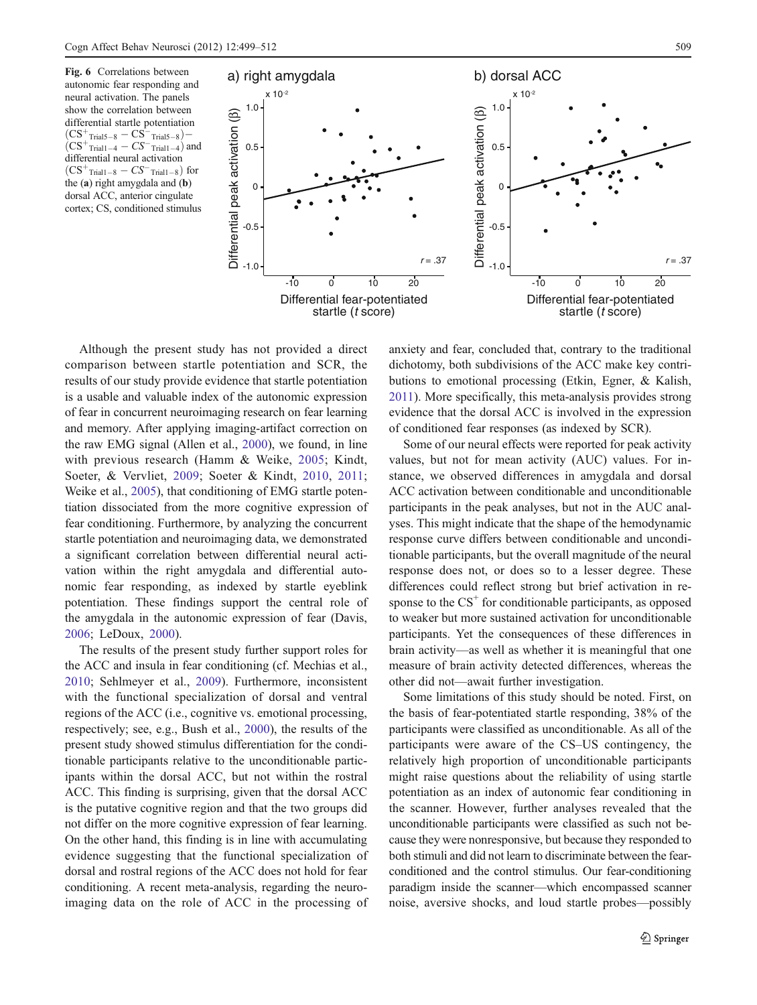<span id="page-10-0"></span>



Although the present study has not provided a direct comparison between startle potentiation and SCR, the results of our study provide evidence that startle potentiation is a usable and valuable index of the autonomic expression of fear in concurrent neuroimaging research on fear learning and memory. After applying imaging-artifact correction on the raw EMG signal (Allen et al., [2000\)](#page-11-0), we found, in line with previous research (Hamm & Weike, [2005;](#page-11-0) Kindt, Soeter, & Vervliet, [2009;](#page-12-0) Soeter & Kindt, [2010,](#page-12-0) [2011](#page-12-0); Weike et al., [2005](#page-13-0)), that conditioning of EMG startle potentiation dissociated from the more cognitive expression of fear conditioning. Furthermore, by analyzing the concurrent startle potentiation and neuroimaging data, we demonstrated a significant correlation between differential neural activation within the right amygdala and differential autonomic fear responding, as indexed by startle eyeblink potentiation. These findings support the central role of the amygdala in the autonomic expression of fear (Davis, [2006;](#page-11-0) LeDoux, [2000\)](#page-12-0).

The results of the present study further support roles for the ACC and insula in fear conditioning (cf. Mechias et al., [2010](#page-12-0); Sehlmeyer et al., [2009](#page-12-0)). Furthermore, inconsistent with the functional specialization of dorsal and ventral regions of the ACC (i.e., cognitive vs. emotional processing, respectively; see, e.g., Bush et al., [2000](#page-11-0)), the results of the present study showed stimulus differentiation for the conditionable participants relative to the unconditionable participants within the dorsal ACC, but not within the rostral ACC. This finding is surprising, given that the dorsal ACC is the putative cognitive region and that the two groups did not differ on the more cognitive expression of fear learning. On the other hand, this finding is in line with accumulating evidence suggesting that the functional specialization of dorsal and rostral regions of the ACC does not hold for fear conditioning. A recent meta-analysis, regarding the neuroimaging data on the role of ACC in the processing of anxiety and fear, concluded that, contrary to the traditional dichotomy, both subdivisions of the ACC make key contributions to emotional processing (Etkin, Egner, & Kalish, [2011\)](#page-11-0). More specifically, this meta-analysis provides strong evidence that the dorsal ACC is involved in the expression of conditioned fear responses (as indexed by SCR).

Some of our neural effects were reported for peak activity values, but not for mean activity (AUC) values. For instance, we observed differences in amygdala and dorsal ACC activation between conditionable and unconditionable participants in the peak analyses, but not in the AUC analyses. This might indicate that the shape of the hemodynamic response curve differs between conditionable and unconditionable participants, but the overall magnitude of the neural response does not, or does so to a lesser degree. These differences could reflect strong but brief activation in response to the  $CS<sup>+</sup>$  for conditionable participants, as opposed to weaker but more sustained activation for unconditionable participants. Yet the consequences of these differences in brain activity—as well as whether it is meaningful that one measure of brain activity detected differences, whereas the other did not—await further investigation.

Some limitations of this study should be noted. First, on the basis of fear-potentiated startle responding, 38% of the participants were classified as unconditionable. As all of the participants were aware of the CS–US contingency, the relatively high proportion of unconditionable participants might raise questions about the reliability of using startle potentiation as an index of autonomic fear conditioning in the scanner. However, further analyses revealed that the unconditionable participants were classified as such not because they were nonresponsive, but because they responded to both stimuli and did not learn to discriminate between the fearconditioned and the control stimulus. Our fear-conditioning paradigm inside the scanner—which encompassed scanner noise, aversive shocks, and loud startle probes—possibly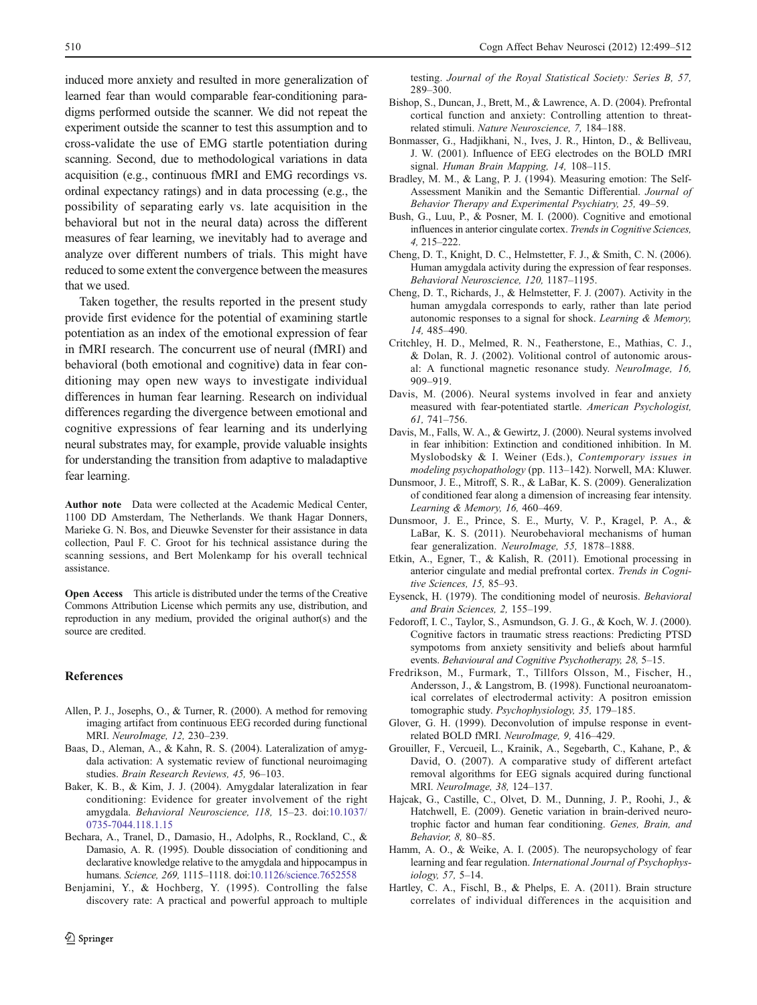<span id="page-11-0"></span>induced more anxiety and resulted in more generalization of learned fear than would comparable fear-conditioning paradigms performed outside the scanner. We did not repeat the experiment outside the scanner to test this assumption and to cross-validate the use of EMG startle potentiation during scanning. Second, due to methodological variations in data acquisition (e.g., continuous fMRI and EMG recordings vs. ordinal expectancy ratings) and in data processing (e.g., the possibility of separating early vs. late acquisition in the behavioral but not in the neural data) across the different measures of fear learning, we inevitably had to average and analyze over different numbers of trials. This might have reduced to some extent the convergence between the measures that we used.

Taken together, the results reported in the present study provide first evidence for the potential of examining startle potentiation as an index of the emotional expression of fear in fMRI research. The concurrent use of neural (fMRI) and behavioral (both emotional and cognitive) data in fear conditioning may open new ways to investigate individual differences in human fear learning. Research on individual differences regarding the divergence between emotional and cognitive expressions of fear learning and its underlying neural substrates may, for example, provide valuable insights for understanding the transition from adaptive to maladaptive fear learning.

Author note Data were collected at the Academic Medical Center, 1100 DD Amsterdam, The Netherlands. We thank Hagar Donners, Marieke G. N. Bos, and Dieuwke Sevenster for their assistance in data collection, Paul F. C. Groot for his technical assistance during the scanning sessions, and Bert Molenkamp for his overall technical assistance.

Open Access This article is distributed under the terms of the Creative Commons Attribution License which permits any use, distribution, and reproduction in any medium, provided the original author(s) and the source are credited.

## References

- Allen, P. J., Josephs, O., & Turner, R. (2000). A method for removing imaging artifact from continuous EEG recorded during functional MRI. NeuroImage, 12, 230–239.
- Baas, D., Aleman, A., & Kahn, R. S. (2004). Lateralization of amygdala activation: A systematic review of functional neuroimaging studies. Brain Research Reviews, 45, 96–103.
- Baker, K. B., & Kim, J. J. (2004). Amygdalar lateralization in fear conditioning: Evidence for greater involvement of the right amygdala. Behavioral Neuroscience, 118, 15–23. doi[:10.1037/](http://dx.doi.org/10.1037/0735-7044.118.1.15) [0735-7044.118.1.15](http://dx.doi.org/10.1037/0735-7044.118.1.15)
- Bechara, A., Tranel, D., Damasio, H., Adolphs, R., Rockland, C., & Damasio, A. R. (1995). Double dissociation of conditioning and declarative knowledge relative to the amygdala and hippocampus in humans. Science, 269, 1115–1118. doi:[10.1126/science.7652558](http://dx.doi.org/10.1126/science.7652558)
- Benjamini, Y., & Hochberg, Y. (1995). Controlling the false discovery rate: A practical and powerful approach to multiple

 $\textcircled{2}$  Springer

testing. Journal of the Royal Statistical Society: Series B, 57, 289–300.

- Bishop, S., Duncan, J., Brett, M., & Lawrence, A. D. (2004). Prefrontal cortical function and anxiety: Controlling attention to threatrelated stimuli. Nature Neuroscience, 7, 184–188.
- Bonmasser, G., Hadjikhani, N., Ives, J. R., Hinton, D., & Belliveau, J. W. (2001). Influence of EEG electrodes on the BOLD fMRI signal. Human Brain Mapping, 14, 108–115.
- Bradley, M. M., & Lang, P. J. (1994). Measuring emotion: The Self-Assessment Manikin and the Semantic Differential. Journal of Behavior Therapy and Experimental Psychiatry, 25, 49–59.
- Bush, G., Luu, P., & Posner, M. I. (2000). Cognitive and emotional influences in anterior cingulate cortex. Trends in Cognitive Sciences, 4, 215–222.
- Cheng, D. T., Knight, D. C., Helmstetter, F. J., & Smith, C. N. (2006). Human amygdala activity during the expression of fear responses. Behavioral Neuroscience, 120, 1187–1195.
- Cheng, D. T., Richards, J., & Helmstetter, F. J. (2007). Activity in the human amygdala corresponds to early, rather than late period autonomic responses to a signal for shock. Learning & Memory, 14, 485–490.
- Critchley, H. D., Melmed, R. N., Featherstone, E., Mathias, C. J., & Dolan, R. J. (2002). Volitional control of autonomic arousal: A functional magnetic resonance study. NeuroImage, 16, 909–919.
- Davis, M. (2006). Neural systems involved in fear and anxiety measured with fear-potentiated startle. American Psychologist, 61, 741–756.
- Davis, M., Falls, W. A., & Gewirtz, J. (2000). Neural systems involved in fear inhibition: Extinction and conditioned inhibition. In M. Myslobodsky & I. Weiner (Eds.), Contemporary issues in modeling psychopathology (pp. 113–142). Norwell, MA: Kluwer.
- Dunsmoor, J. E., Mitroff, S. R., & LaBar, K. S. (2009). Generalization of conditioned fear along a dimension of increasing fear intensity. Learning & Memory, 16, 460–469.
- Dunsmoor, J. E., Prince, S. E., Murty, V. P., Kragel, P. A., & LaBar, K. S. (2011). Neurobehavioral mechanisms of human fear generalization. NeuroImage, 55, 1878–1888.
- Etkin, A., Egner, T., & Kalish, R. (2011). Emotional processing in anterior cingulate and medial prefrontal cortex. Trends in Cognitive Sciences, 15, 85–93.
- Eysenck, H. (1979). The conditioning model of neurosis. Behavioral and Brain Sciences, 2, 155–199.
- Fedoroff, I. C., Taylor, S., Asmundson, G. J. G., & Koch, W. J. (2000). Cognitive factors in traumatic stress reactions: Predicting PTSD sympotoms from anxiety sensitivity and beliefs about harmful events. Behavioural and Cognitive Psychotherapy, 28, 5–15.
- Fredrikson, M., Furmark, T., Tillfors Olsson, M., Fischer, H., Andersson, J., & Langstrom, B. (1998). Functional neuroanatomical correlates of electrodermal activity: A positron emission tomographic study. Psychophysiology, 35, 179–185.
- Glover, G. H. (1999). Deconvolution of impulse response in eventrelated BOLD fMRI. NeuroImage, 9, 416–429.
- Grouiller, F., Vercueil, L., Krainik, A., Segebarth, C., Kahane, P., & David, O. (2007). A comparative study of different artefact removal algorithms for EEG signals acquired during functional MRI. NeuroImage, 38, 124–137.
- Hajcak, G., Castille, C., Olvet, D. M., Dunning, J. P., Roohi, J., & Hatchwell, E. (2009). Genetic variation in brain-derived neurotrophic factor and human fear conditioning. Genes, Brain, and Behavior, 8, 80–85.
- Hamm, A. O., & Weike, A. I. (2005). The neuropsychology of fear learning and fear regulation. International Journal of Psychophysiology, 57, 5–14.
- Hartley, C. A., Fischl, B., & Phelps, E. A. (2011). Brain structure correlates of individual differences in the acquisition and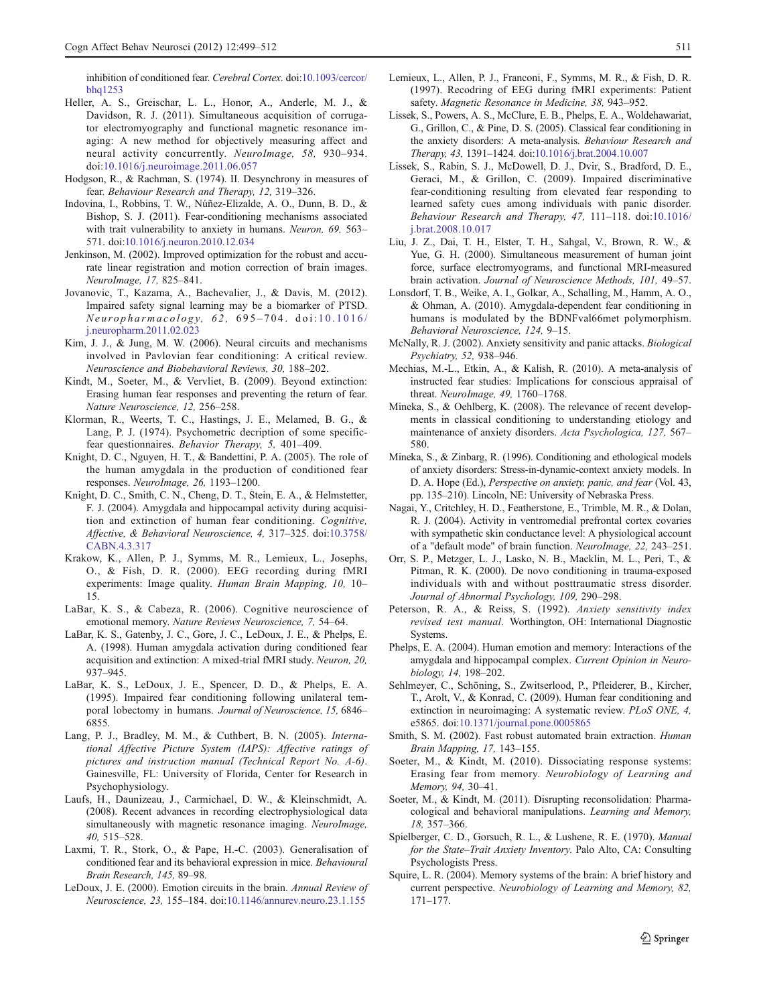<span id="page-12-0"></span>inhibition of conditioned fear. Cerebral Cortex. doi:[10.1093/cercor/](http://dx.doi.org/10.1093/cercor/bhq1253) [bhq1253](http://dx.doi.org/10.1093/cercor/bhq1253)

- Heller, A. S., Greischar, L. L., Honor, A., Anderle, M. J., & Davidson, R. J. (2011). Simultaneous acquisition of corrugator electromyography and functional magnetic resonance imaging: A new method for objectively measuring affect and neural activity concurrently. NeuroImage, 58, 930–934. doi[:10.1016/j.neuroimage.2011.06.057](http://dx.doi.org/10.1016/j.neuroimage.2011.06.057)
- Hodgson, R., & Rachman, S. (1974). II. Desynchrony in measures of fear. Behaviour Research and Therapy, 12, 319–326.
- Indovina, I., Robbins, T. W., Núñez-Elizalde, A. O., Dunn, B. D., & Bishop, S. J. (2011). Fear-conditioning mechanisms associated with trait vulnerability to anxiety in humans. Neuron, 69, 563– 571. doi:10.1016/j.neuron.2010.12.034
- Jenkinson, M. (2002). Improved optimization for the robust and accurate linear registration and motion correction of brain images. NeuroImage, 17, 825–841.
- Jovanovic, T., Kazama, A., Bachevalier, J., & Davis, M. (2012). Impaired safety signal learning may be a biomarker of PTSD. Neuropharmacology, 62, 695-704. doi:10.1016/ j.neuropharm.2011.02.023
- Kim, J. J., & Jung, M. W. (2006). Neural circuits and mechanisms involved in Pavlovian fear conditioning: A critical review. Neuroscience and Biobehavioral Reviews, 30, 188–202.
- Kindt, M., Soeter, M., & Vervliet, B. (2009). Beyond extinction: Erasing human fear responses and preventing the return of fear. Nature Neuroscience, 12, 256–258.
- Klorman, R., Weerts, T. C., Hastings, J. E., Melamed, B. G., & Lang, P. J. (1974). Psychometric decription of some specificfear questionnaires. Behavior Therapy, 5, 401–409.
- Knight, D. C., Nguyen, H. T., & Bandettini, P. A. (2005). The role of the human amygdala in the production of conditioned fear responses. NeuroImage, 26, 1193–1200.
- Knight, D. C., Smith, C. N., Cheng, D. T., Stein, E. A., & Helmstetter, F. J. (2004). Amygdala and hippocampal activity during acquisition and extinction of human fear conditioning. Cognitive, Affective, & Behavioral Neuroscience, 4, 317–325. doi:10.3758/ CABN.4.3.317
- Krakow, K., Allen, P. J., Symms, M. R., Lemieux, L., Josephs, O., & Fish, D. R. (2000). EEG recording during fMRI experiments: Image quality. Human Brain Mapping, 10, 10– 15.
- LaBar, K. S., & Cabeza, R. (2006). Cognitive neuroscience of emotional memory. Nature Reviews Neuroscience, 7, 54–64.
- LaBar, K. S., Gatenby, J. C., Gore, J. C., LeDoux, J. E., & Phelps, E. A. (1998). Human amygdala activation during conditioned fear acquisition and extinction: A mixed-trial fMRI study. Neuron, 20, 937–945.
- LaBar, K. S., LeDoux, J. E., Spencer, D. D., & Phelps, E. A. (1995). Impaired fear conditioning following unilateral temporal lobectomy in humans. Journal of Neuroscience, 15, 6846– 6855.
- Lang, P. J., Bradley, M. M., & Cuthbert, B. N. (2005). International Affective Picture System (IAPS): Affective ratings of pictures and instruction manual (Technical Report No. A-6). Gainesville, FL: University of Florida, Center for Research in Psychophysiology.
- Laufs, H., Daunizeau, J., Carmichael, D. W., & Kleinschmidt, A. (2008). Recent advances in recording electrophysiological data simultaneously with magnetic resonance imaging. NeuroImage, 40, 515–528.
- Laxmi, T. R., Stork, O., & Pape, H.-C. (2003). Generalisation of conditioned fear and its behavioral expression in mice. Behavioural Brain Research, 145, 89–98.
- LeDoux, J. E. (2000). Emotion circuits in the brain. Annual Review of Neuroscience, 23, 155–184. doi:10.1146/annurev.neuro.23.1.155
- Lemieux, L., Allen, P. J., Franconi, F., Symms, M. R., & Fish, D. R. (1997). Recodring of EEG during fMRI experiments: Patient safety. Magnetic Resonance in Medicine, 38, 943–952.
- Lissek, S., Powers, A. S., McClure, E. B., Phelps, E. A., Woldehawariat, G., Grillon, C., & Pine, D. S. (2005). Classical fear conditioning in the anxiety disorders: A meta-analysis. Behaviour Research and Therapy, 43, 1391–1424. doi:10.1016/j.brat.2004.10.007
- Lissek, S., Rabin, S. J., McDowell, D. J., Dvir, S., Bradford, D. E., Geraci, M., & Grillon, C. (2009). Impaired discriminative fear-conditioning resulting from elevated fear responding to learned safety cues among individuals with panic disorder. Behaviour Research and Therapy, 47, 111–118. doi:10.1016/ j.brat.2008.10.017
- Liu, J. Z., Dai, T. H., Elster, T. H., Sahgal, V., Brown, R. W., & Yue, G. H. (2000). Simultaneous measurement of human joint force, surface electromyograms, and functional MRI-measured brain activation. Journal of Neuroscience Methods, 101, 49–57.
- Lonsdorf, T. B., Weike, A. I., Golkar, A., Schalling, M., Hamm, A. O., & Ohman, A. (2010). Amygdala-dependent fear conditioning in humans is modulated by the BDNFval66met polymorphism. Behavioral Neuroscience, 124, 9–15.
- McNally, R. J. (2002). Anxiety sensitivity and panic attacks. Biological Psychiatry, 52, 938–946.
- Mechias, M.-L., Etkin, A., & Kalish, R. (2010). A meta-analysis of instructed fear studies: Implications for conscious appraisal of threat. NeuroImage, 49, 1760–1768.
- Mineka, S., & Oehlberg, K. (2008). The relevance of recent developments in classical conditioning to understanding etiology and maintenance of anxiety disorders. Acta Psychologica, 127, 567– 580.
- Mineka, S., & Zinbarg, R. (1996). Conditioning and ethological models of anxiety disorders: Stress-in-dynamic-context anxiety models. In D. A. Hope (Ed.), Perspective on anxiety, panic, and fear (Vol. 43, pp. 135–210). Lincoln, NE: University of Nebraska Press.
- Nagai, Y., Critchley, H. D., Featherstone, E., Trimble, M. R., & Dolan, R. J. (2004). Activity in ventromedial prefrontal cortex covaries with sympathetic skin conductance level: A physiological account of a "default mode" of brain function. NeuroImage, 22, 243–251.
- Orr, S. P., Metzger, L. J., Lasko, N. B., Macklin, M. L., Peri, T., & Pitman, R. K. (2000). De novo conditioning in trauma-exposed individuals with and without posttraumatic stress disorder. Journal of Abnormal Psychology, 109, 290–298.
- Peterson, R. A., & Reiss, S. (1992). Anxiety sensitivity index revised test manual. Worthington, OH: International Diagnostic Systems.
- Phelps, E. A. (2004). Human emotion and memory: Interactions of the amygdala and hippocampal complex. Current Opinion in Neurobiology, 14, 198–202.
- Sehlmeyer, C., Schöning, S., Zwitserlood, P., Pfleiderer, B., Kircher, T., Arolt, V., & Konrad, C. (2009). Human fear conditioning and extinction in neuroimaging: A systematic review. PLoS ONE, 4, e5865. doi:10.1371/journal.pone.0005865
- Smith, S. M. (2002). Fast robust automated brain extraction. Human Brain Mapping, 17, 143–155.
- Soeter, M., & Kindt, M. (2010). Dissociating response systems: Erasing fear from memory. Neurobiology of Learning and Memory, 94, 30–41.
- Soeter, M., & Kindt, M. (2011). Disrupting reconsolidation: Pharmacological and behavioral manipulations. Learning and Memory, 18, 357–366.
- Spielberger, C. D., Gorsuch, R. L., & Lushene, R. E. (1970). Manual for the State–Trait Anxiety Inventory. Palo Alto, CA: Consulting Psychologists Press.
- Squire, L. R. (2004). Memory systems of the brain: A brief history and current perspective. Neurobiology of Learning and Memory, 82, 171–177.